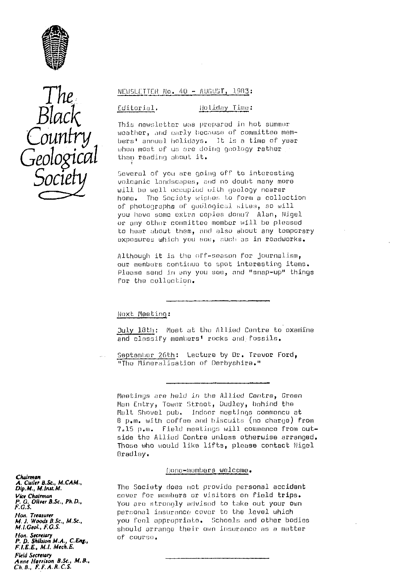



## NEWSLETTER No. 40 - AUGUST, 1983:

#### Editorial. (Ioliday Time:

. This newsletter was prepared in hot summer weather, and early because of committee mem-<br>bers' annual holidays. 3t is a time of year when most of us are doing geology rather than reading about it.

Several of you are going off to interesting volcanic landscapes, sod no doubt many more will *be* well uceupiud uith geology nearer home. The Society wishes to form a collection of photographs of geological sites, so will you have some extra copies done? Alan, Nigel or any other committee member will he pleased to hoar about them, and also about any temporary exposures which you see, such as in roadworks.

Although it is the off-season for journalism, our members continue to spot interesting items. Please send in any you sue, and "snap-up" things for the collection.

NoxL• Meeting :

July 18th: Meet at the Allied Centre to oxamine and classify members' rocks and fossils.

September 26th: Lecture by Dr. Trevor Ford, "The Mineralisation of Derbyshire."

Meetings are held in the Allied Centre, Green Man Entry, Tower Street, Dudley, behind tho Malt Shovel pub. Indoor moetings commence at 9 p.m. with coffee and h.Lscuits (no charge) from 7.15 p.m. Field meetings will commence from outside the Allied Contra unless otherwise arranged. Those who would like lifts, please contact Nigel Bradley.

#### franc-mumburs welcome.

*Dip.M., M.hut.M.* The Society does not provide personal accident<br>*Vice Chalman* and the prover for members or visitors on field trips. *Vice* Chairman cover for members or visitors an field trips. *P. G. Oliver B.Sc., Ph.D.,* you are strongly edvised to take out your own  $F.G.S.$ personal insurance cover to the level which *M.J. Woods B.Sc., M.Sc.,* you feal appropriate. Schools and other bodies<br>*M.I.Geob, F.G.S.* should arrange their own insurance as a matter should arrange their own insurance as a matter<br>of course.

*Chairman* A. Curler D.S*c*., M.CAM., *Non. Treasurer Hon. Secretary*<br>**P. D. Shillston M.A., C.Eng., C. C. Of COURSE. FLEE,,** *E,, M.I.* **Mech.E.** *Field* Sec*re*ta*ry* Anne *Harrison B.Sc., M. B" Ch.B., f:F,A.R.C.S.*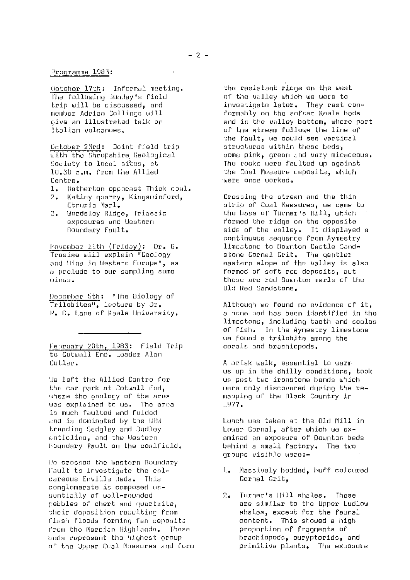October 17th: Informal mooting. The following Sunday's field trip will be discussed, and member Adrian Collings will rive an illustrated talk on Italian volcanoes.

October 23rd: Joint field trip with the Shropshire, Geological Society to local sites, at 10.30 a.m. from the Allied Centre.

- 1. Netherton oponcest Thick coal.
- 2. Ketley quarry, Kingswinford, Etruria Marl.
- 3. Uordsley Ridge, Triassic exposures and Western Boundary Fault.

<u> Fovember 11th (Friday)</u>: Dr. G. Trosiso, will explain "Geology and Wino in Western Europe", as o prelude to our sampling some wines.

December 5th: "The Biology of Trilobites", lecture by Dr. P. D. Lane of Koele University.

February 20th, 1983: Field Trip to Cotwell End. Leader Alan Cutler.

tie left the Allied Centre for the car park at Cotwall End, where the goology of the area was explained to us. The area is much faulted and folded and is dominated by the NFN trending Sadgley and Dudley anticline, and the Western Houndary fault on the coalfield.

Uo crossed the Western Boundary Fault to investigate the calcareous Enville Beds. This conglomerate is composed essentially of wall-rounded pebbles of chert and quartzite, their deposition resulting from flash floods forming fan deposits From the Morcian Highlands. Those heds represent the highest group of the Upper Coal Measures and form

the resistant ridge on the west of the valley which we were to investigate later. They rest conformably on the softer Keele beds and in the volley bottom, where part of the stream follows the line of the fault, we could see vertical structures within those beds, some pink, green and very micaceous. The rocks were faulted up against the Coal Measure deposits, which were once worked.

Crossing the stream and the thin strip of Coal Measures, we came to the base of Turner's Hill, which formed the ridge **on** the opposite side of the valley. It displayed a continuous sequence from Aymestry limestone to Downton Castle Sandstone Gornel Grit. The gentler eastern slope of the valley is also formed of soft rod deposits, but these are red Downton marls of the Old Red Sandstone.

Although we Pound no evidence of it, a bone bed has boon identified in the limestone, including teeth and scales of fish. In the Aymestry limestone we found a trilobite among the corals and brachiopods.

A brisk walk, essential to warm us up in the dhilly conditions, took us past two ironstone bands which were only discovered during the remapping of the Black Country in 1977.

Lunch was taken at the Old Mill in Lower Gornal, after which we **ex**amined an exposure of Downton beds behind a small factory. The two groups visible were:-

- 1.. Massively bedded, buff coloured Gornal Grit,
- 2. Turner's Hill shales. These are similar to the Upper Ludlow shales, except for the faunal content. This showed a high proportion of fragments of brachiopods, eurypterids, and primitive plants. The exposure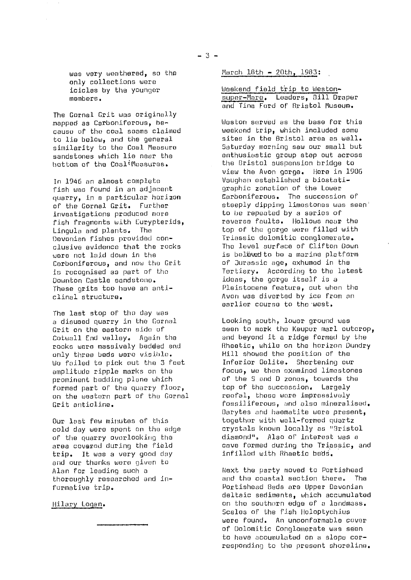The Gornal Grit was originally mapped as Carboniferous, be- cause of the coal seams claimed to lie belowp and the general similarity to the Coal Measure sandstones which lie near the bottom of the CoaltiMeasures.

In 1946 an almost complete fish was found in an adjacent quarry, in a particular horizon of the Gornal Grit. Further investigations produced more fish fragments with Curypterids, Lingula and plants. The Devonian fishes provided conclusive evidence that the rocks were not laid down in the Carboniferous, and now the Grit is recognised as part of the Downton Castle sandstone. These grits too have an anticlinal structure.

The last stop of tho day was a disused quarry in the Gornal Grit on the eastern side of Cotwall End valley. Again the rocks wore massively bedded and only three beds were visible. We failed to pick *out* the 3 feet amplitude ripple marks on the prominent bedding plane which formed part or the quarry floor, on the western part of the Gornal Grit anticline.

*Our* lost few minutes of this cold day were spent an the edge of the quarry overlooking the area covered during the field trip. It was a very good day and our thanks were given to Alan for leading such a thoroughly researched and informative trip.

# Hilary Logan.

March 18th - 20th, 1983:

Weekend field trip to Westonsuper-Mare. Loaders, 0111 Draper and Tine Ford of Bristol Museum.

Weston served as the base for this weekend trip, which included some sites in the Bristol area as well. Saturday morning saw our small but enthusiastic group step *out* across the Bristol suspension bridge to view the Avon gorge. Here in 1906 Vaughan established a biostatigraphic zonation of the Lower Carboniferous. The succession of steeply dipping Limestones was seen' to be repeated by a series of reverse faults. Hollows near the top of the gorge were filled with Triassic dolomitic conglomerate. The level surface of Clifton Down is beleved to be a marine platform of' Jurassic age, exhumed in the Tertiary. According to the latest ideas, the gorge itself is a Pleistocene feature, cut when the Avon was diverted by *ice from an* earlier course to the west.

Looking south, lower ground was seen to mark the Keupur marl outcrop, and beyond it a ridge formed by the Rheetic, while on the horizon Dundry Hill showed the position of the Inferior dolite. Shortening our focus, we then examined limestones of the S and D zones, towards the top of the succession. Largely reofal, those wore impressively fossiliferous, and also mineralised. Barytes and haematite were present, together with well-formed quartz crystals known locally as "9ristol diamond', Also of interest was a cave Formed during the Triassic, and infillod with Rhaetic beds.

Next the party moved to Portishead and the coastal section there. The Portishead Beds are Upper Devonian deltaic sediments, which accumulat©d on the southern edge of a landmass. Scales of the fish Holoptychius were found. An unconformable cover of Dolomitic Conglomerate was seen to have accumulated on a slope corresponding to the present shoreline.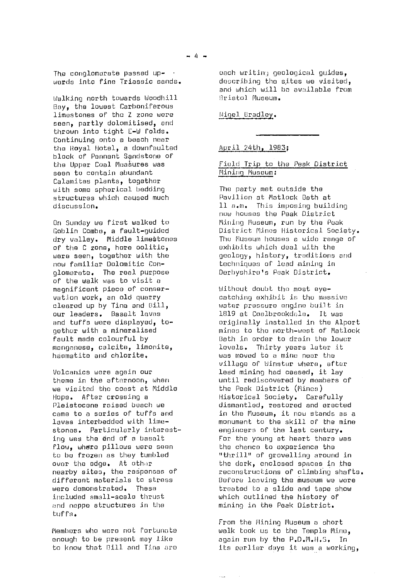Walking north towards Woodhill Bay, the lowest Carboniferous limestones of the Z zone were seen, partly dolomitised, and thrown into tight F-W folds. Continuing onto a beach near the Hoyal Hotel, a downfaulted block of Pennant Sandstone of the Upper Coal Measures was seen to contain abundant Calamites plants, together with some spherical bedding structures which caused much discussion.

On Sunday we first walked to Goblin Combo, a fault-guided dry valley. Middle limestones of the C zone, here colitic, were seen, together with the now familiar Dolomitic Conglomerate. The real purpose of the walk was to visit a magnificent piece of conservation work, an old quarry cleared up by Tina and Hill, our leaders. Basalt lavas and tuffs were displayed, together with a mineralised fault made colourful by manganese, calcite, limonite, haematite and chlorite.

Volcanics were again our theme in the afternoon, when we visited the coast at Middle Hope. After crossing a Pleistocene raised beach we came to a series of tuffs and lavas interbedded with limostones. Particularly interesting was the and of a basalt flow, whore pillows were seen to be frozen as they tumbled over the edge. At other nearby sites, the responses of different materials to stress<br>were demonstrated. These were demonstrated. included small-scale thrust and nappe structures in the tuffs.

Members who were not fortunate enough to be present may like to know that Pill and Tina are each writin.; geological guides, describing the sites we visited, and which will be available from Bristol Museum.

Nigel Bradley.

# April. 24th, 1983 ;

# Field Trip to the Peak District Mining Museum:

The party met outside the Pavilion at Matlock Bath at 11 a.m. This imposing building now houses the Peak District Mining Museum, run by the Punk District Mines Historical Society. The Museum houses a wide range of exhibits which deal with the geology, history, traditions and techniques of load mining in Derbyshire's Peak District,

Without doubt the most eyecatching exhibit is the massive water pressure engine built in 1819 at Coalbrookdale. It was originally installed in the Alpert mines to the north-west of Matlock Bath in order to drain the lower levels. Thirty years later it was moved to a mine near the village of Uinstur where, after lead mining had ceased, it lay until rediscovered by members of the Peak District (Mines) Historical Society. Carefully dismantled, restored and erected in the Museum, it now stands as a monument to the skill of the mine engineers of the last century. For the young at heart there was the chance to experience the "thrill" of grovelling around in the dark, enclosed spaces in the reconstructions of climbing shafts. Before leaving the museum we wore treated to a slide and tape show which outlined the history of mining in the Peak District.

From the Mining Museum a short walk Look *us* to the Temple Mine, again run by the P.D.M.FI.S. In its eorlier days it was a working,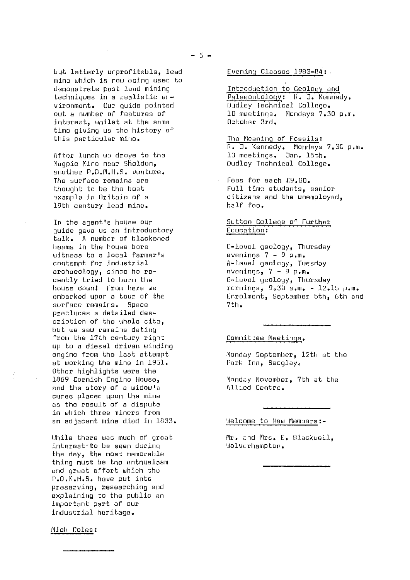but latterly unprofitable, lead mine which is now being used to demonstrate past load mining techniques in a realistic onvironmont. Our guide pointed out a number **of** features of interest, whilst at the some time giving us the history of this particular mine.

After lunch we drove to the Magpie Mine near Sheldon, another P.D.MI.H.S. venture. The surface remains are thought to be the best example in Britain of a 19th century lead mine.

In the agent's house our guide gave us an introductory talk. A number of blackened beams in the house bore witness to a local farmer's contempt for industrial archaeology, since he recently tried to burn the house down! From here we embarked upon a tour of the surface remains. Space precludes a detailed description of the whole site, but we saw remains dating from the 17th century right up to a diesel driven winding engine from the last attempt at working the mine in 1951. Other highlights were the 1869 Cornish Engine House, and the story of a widow's curse placed upon the mine as the result of a dispute in which three miners from an adjacent mine died in 1833.

While there was much of great interest to be seen during the day, the most memorable thing must be the enthusiasm and groat effort which the P.D.11,11.5. have put into preserving, researching and explaining to the public an important part of our industrial heritage.

Evening Classes 1983-84:

Introduction to Geology and Palaeontology: R. J. Kennedy. Dudley Technical College. 10 meetings. Mondays 7.30 p.m. October 3rd.

The Meaning of Fossils : R. **J.** Kennedy. Mondays 7,30 p.m. 10 meetings. Jan. 16th. Dudley Technical College.

Fens for each £9.00. Full time students, senior citizens and the unemployed, half Fee.

Sutton College of Further Education:

0-level geology, Thursday evenings  $7 - 9 p.m.$ A-level geology, Tuesday avenings,  $7 - 9$  p.m. D-lavol geology, Thursday mornings, 9.30 a.m. - 12.15 p.m. Enrolment, September 5th, 6th and 7th.

Committee Meetings\_ .

Monday September, 12th at the Park Inn, 5edgley.

Monday November, 7th at the Allied Contre,

Welcome to Now Members:-

Mr. and Mrs. E. Blackwell, Wolverhampton.

Mick Coles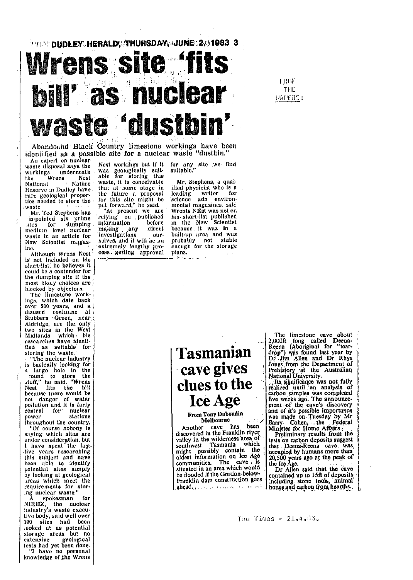# **THE DUDLEY HERALD THURSDAY, JUNE 2.01983 3** Wrens site fits **Mill'as nuclear** 1 adu

Abandound Black Country limestone workings have been identified as a possible site for a nuclear waste "dustbin."

An expert on nuclear<br>waste disposal says the workings underneath <sup>w</sup>as geologically suit- suitable," the Wrens Nest able for storing this National 1 Nature waste, it is conceivable Mr. Stephens, a qual-<br>that at some stage in filed physicist who is a Reserve in Dudley have that at some stage in ified physicist who is a Reserve in Dudley have that at some stage in ified physicist who is a rare geological proper-<br>the future a proposal leading writer for rare geological proper-<br>the future a proposal leading writer for<br>tics needed to store the for this site might be science adn environ-<br>metal megazines said

,rtes for dumping .. information before in the New Scientist medium level nuclear making any direct because it was in a was for unique include in a head and the state in an article for 'investigations our- built-up area and was New Scientist magaz- solves, and it will be an probably not stable New Scientist magaz- selves, and it will be an probably not stable<br>lne. cxtremely lengthy pro- cnough for the storage

is' not included on his short-list; he believes it could be a contender for the dumping site if the most likely choices are blocked by objectors.

'1'he li mestone work-Ings, which date back over 200 years, and a disused coalinine at Stubbers ' Green, near Aldridge, are the only two sites In the West Midlands which , his researches have identified as suitable for storing the waste.

is basically looking for power. stations ihroughout the country.

"Of course nobody is saying which sites are I have spent the lagt-<br>live years researching the years researching<br>this subject and have<br>been able to identify been also to identify<br>poloking at geological<br>areas which meet the<br>requirements for stor-<br>ing nuclear waste."

A spokesman for  $NIREX$ , the nuclear Industry's waste oxecu• live body, said well over 100 sites had been looked at as potential storage areas but no extensive geological tests had yet been done. "I have, no personal knowledge of the Wrens Nest workings but if it for any site we find<br>was geologically suit-suitable."<br>able for storing this

EW SCIERTIST HABLE oxtremely lengthy pro- chough<br>Although Wrens Nest coss getting approval plans. cess getting approval

waste. put forward," he said, mental magazines, said waste. put forward, he said. mental magazines, said<br>Mr. Ted Stephens has "At present we are Wrents NEst was not on<br>in-pointed six prime relying on published his short-list published relying on published his short-list published information before in the New Scientist his short-list published

# $\Gamma_{\text{array}}^{\text{ref}}$  as suitable for  $\left| \text{ Tasmanian} \right|$ The nuclear industry<br>  $\begin{array}{c|c|c|c} \hline \text{L}}{\text{L}}\end{array}$  and the cavecture in the cavec the cavec in the cavec with the cavec with the cavec with the cavec with the cavec with the cavec with the cavec with  $\begin{array}{c|c|c} \text{L$ round to store the  $_{\text{Juff,''}}$  he said, "Wrens Nest Ills the bill clues to the

**From Tony Duboudin** Melbourne

Another cave has been<br>discovered in the Franklin river valley in the wilderness area of<br>southwest Tasmania which might possibly contain the<br>oldest information on Ice Age communities. The cave situated in an area which would be flooded if the Gordon-below-Franklin dam construction goes ghead, program successive arrivals.

The limestone cave about 2,000ft long called Deena-Reena (Aboriginal for "teardrop") was found last year by<br>Dr Jim Allen and Dr Rhys Jones from the Department of Prehistory at the Australian National University,

Its significance was not fully<br>realized until an analysis of carbon samples was completed firve .weeks ago. The announcement of the cave's discovery and of it's possible importance was made on Tuesday by Mr.<br>Barry. Cohen, the Federal Minister for Home Affairs

Preliminary fesults from the tests on carbon deposits suggest that. Deena-Reena cave was cocupied by humans more than 20, 500 years ago at the peals of

Dr Allen said that the cave contained up to 15ft of deposits including stone tools, animal bones and carbon from hearths.

The Times  $-21.4.33$ .

FROFI **THE** PAPERS: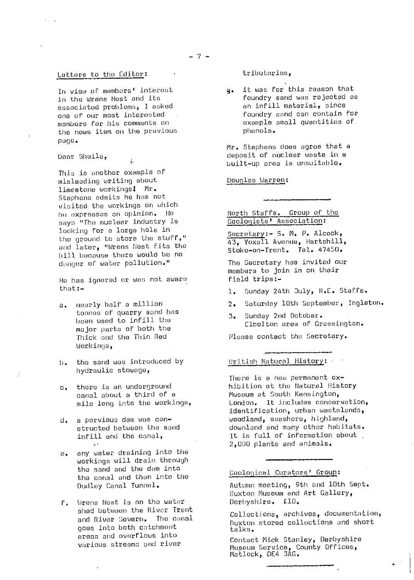## Letters to the Editor:

In view of members' interest in the Wrens Most and its associated problems, I asked one of our most interested members for his comments on the news item on the previous page.

Door Sheila,

This is another example of <sup>m</sup> isleading writing about limestone workings! Mr. Stephens admits he has not visited the workings on which he expresses an opinion. He says "The nuclear industry is looking for a large hole in the ground to store the stuff," and later, "Wrens Nest fits the bill because there would be no danger of water pollution."

ý,

He has ignored or was not aware that:-

- a. nearly half a million tonnos of quarry sand has been used to infill the major parts of both the Thick and the Thin Red Workings,
- h. the sand was introduced by hydraulic stowage,
- c. there is an underground canal about a third of a mile long into the workings,
- d. a pervious darn was constructed between the sand infill and the canal,
- e. any water draining into the workings will drain through the sand and the dam into the canal and then into the Dudley Canal Tunnel.
- f. Wrens Most is an the water shad botwoon the River Trent and River Severn. The canal goes into both catchment areas and overflows into various stream: and river

tributaries,

g. it was for this reason that foundry sand was rejected as an infill material, since foundry sand can contain for example small quantities of phonals.

<sup>h</sup> r. Stephens does agree that a deposit of nuclear waste in <sup>a</sup> built -up area is unsuitable,

Douglas Warren:

# North Staffs. Group of the Geologists' Association:

Secretary:- S. M. P. Alcock, 43, Yoxall Avenue, Hartshill, Stoke-on-Trent. Tel. 47450.

The Secretary has invited our members to join in on their field trips!-

- . Sunday 24th 3uly, N.C. Staffs.
- 2. Saturday 10th September, Ingleton.
- 3. Sunday 2nd October. Elholton area of Grassington.

Please contact the Secretary.

# British Natural History:

There is a new permanent oxhibition at the Natural History Museum at South Kensington, London. It includes conservation, identification, urban wastelands, woodland, seashore, highland, downiand and many other habitats. It is full of information about 2,000 plants and animals.

# Geological Curators' Group:

Autumn meeting, 9th and loth Sept. Buxton Museum and Art Gallery, Derbyshire. £10,

Collectiens, archives, documentation, fluxton stored collections and short talks.

r

Contact Nick Stanley, Derbyshire Museum Service, County Offices, Matlack, 0E4 3AG.